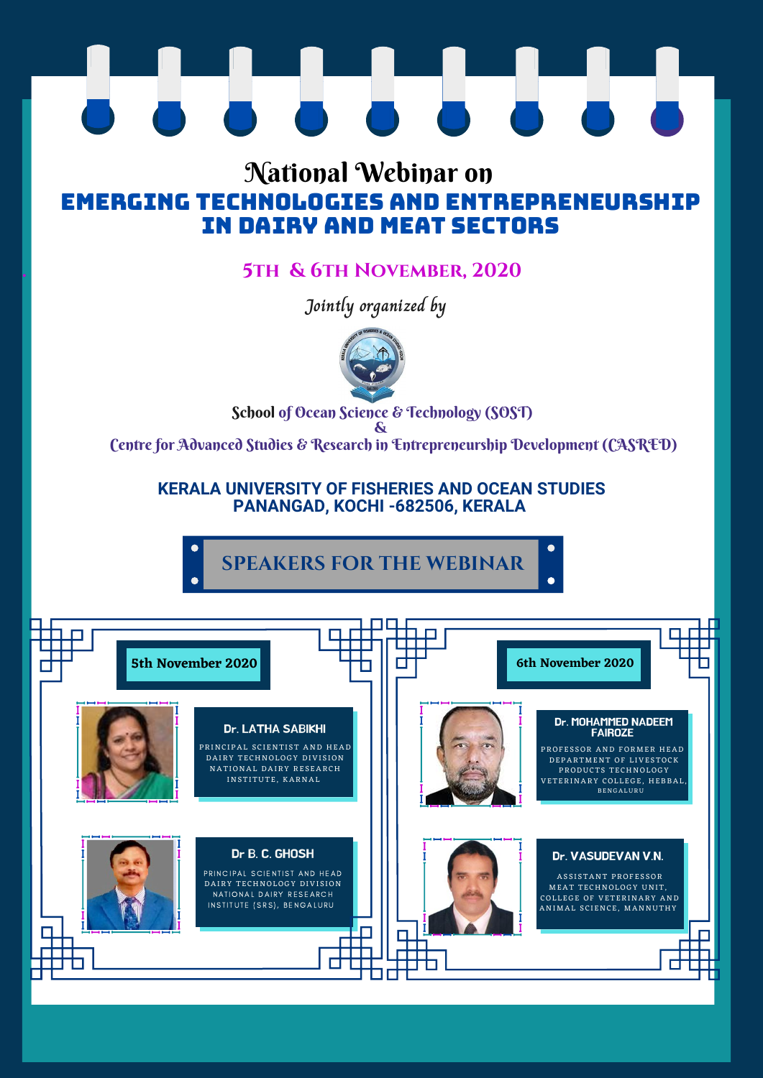### **. 5th & 6th November, 2020**

**Jointly organized by**



School of Ocean Science & Technology (SOST)

**&**

Centre for Advanced Studies & Research in Entrepreneurship Development (CASRED)



# $\blacksquare$

## National Webinar on EMERGING TECHNOLOGIES AND Entrepreneurship IN DAIRY AND MEAT SECTORS

#### **KERALA UNIVERSITY OF FISHERIES AND OCEAN STUDIES PANANGAD, KOCHI -682506, KERALA**